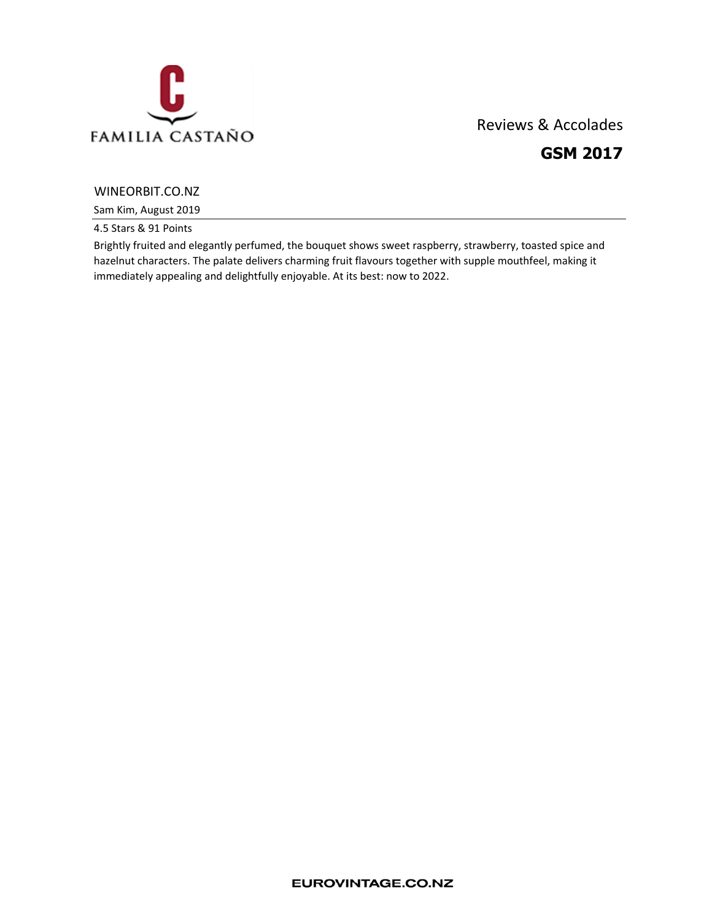

# Reviews & Accolades GSM 2017

## WINEORBIT.CO.NZ

Sam Kim, August 2019

4.5 Stars & 91 Points

Brightly fruited and elegantly perfumed, the bouquet shows sweet raspberry, strawberry, toasted spice and hazelnut characters. The palate delivers charming fruit flavours together with supple mouthfeel, making it immediately appealing and delightfully enjoyable. At its best: now to 2022.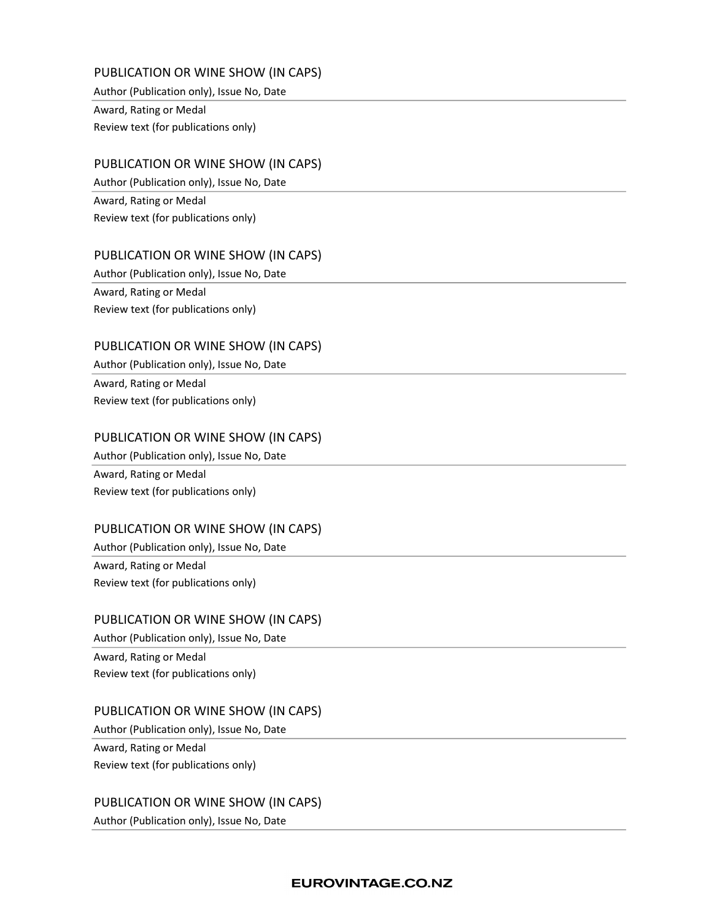# PUBLICATION OR WINE SHOW (IN CAPS)

Author (Publication only), Issue No, Date

Award, Rating or Medal Review text (for publications only)

## PUBLICATION OR WINE SHOW (IN CAPS)

Author (Publication only), Issue No, Date

Award, Rating or Medal Review text (for publications only)

## PUBLICATION OR WINE SHOW (IN CAPS)

Author (Publication only), Issue No, Date

Award, Rating or Medal Review text (for publications only)

### PUBLICATION OR WINE SHOW (IN CAPS)

Author (Publication only), Issue No, Date Award, Rating or Medal Review text (for publications only)

### PUBLICATION OR WINE SHOW (IN CAPS)

Author (Publication only), Issue No, Date Award, Rating or Medal Review text (for publications only)

#### PUBLICATION OR WINE SHOW (IN CAPS)

Author (Publication only), Issue No, Date

Award, Rating or Medal Review text (for publications only)

## PUBLICATION OR WINE SHOW (IN CAPS)

Author (Publication only), Issue No, Date Award, Rating or Medal Review text (for publications only)

#### PUBLICATION OR WINE SHOW (IN CAPS)

Author (Publication only), Issue No, Date

Award, Rating or Medal Review text (for publications only)

PUBLICATION OR WINE SHOW (IN CAPS)

Author (Publication only), Issue No, Date